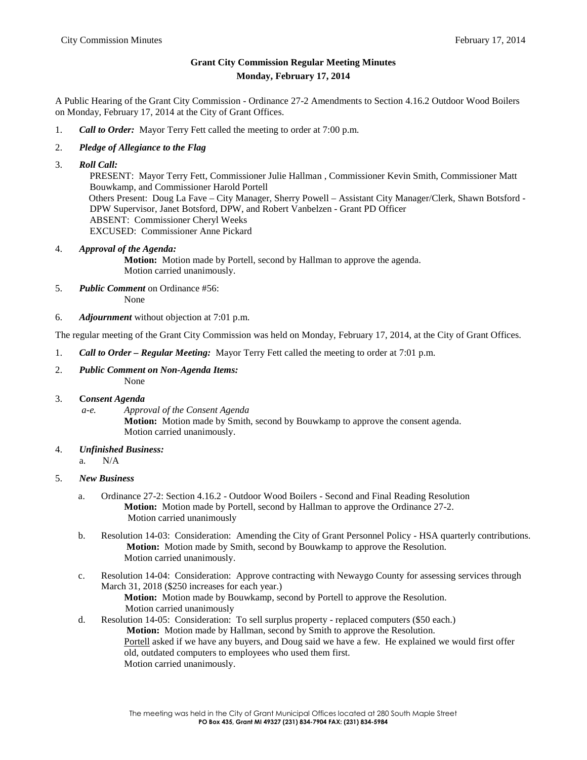# **Grant City Commission Regular Meeting Minutes Monday, February 17, 2014**

A Public Hearing of the Grant City Commission - Ordinance 27-2 Amendments to Section 4.16.2 Outdoor Wood Boilers on Monday, February 17, 2014 at the City of Grant Offices.

- 1. *Call to Order:* Mayor Terry Fett called the meeting to order at 7:00 p.m.
- 2. *Pledge of Allegiance to the Flag*
- 3. *Roll Call:*

PRESENT: Mayor Terry Fett, Commissioner Julie Hallman , Commissioner Kevin Smith, Commissioner Matt Bouwkamp, and Commissioner Harold Portell Others Present: Doug La Fave – City Manager, Sherry Powell – Assistant City Manager/Clerk, Shawn Botsford - DPW Supervisor, Janet Botsford, DPW, and Robert Vanbelzen - Grant PD Officer ABSENT: Commissioner Cheryl Weeks EXCUSED: Commissioner Anne Pickard

## 4. *Approval of the Agenda:*

**Motion:** Motion made by Portell, second by Hallman to approve the agenda. Motion carried unanimously.

5. *Public Comment* on Ordinance #56:

None

6. *Adjournment* without objection at 7:01 p.m.

The regular meeting of the Grant City Commission was held on Monday, February 17, 2014, at the City of Grant Offices.

- 1. *Call to Order – Regular Meeting:* Mayor Terry Fett called the meeting to order at 7:01 p.m.
- 2. *Public Comment on Non-Agenda Items:* None

## 3. **C***onsent Agenda*

*a-e. Approval of the Consent Agenda* **Motion:** Motion made by Smith, second by Bouwkamp to approve the consent agenda. Motion carried unanimously.

- 4. *Unfinished Business:*
	- a. N/A

# 5. *New Business*

- a. Ordinance 27-2: Section 4.16.2 Outdoor Wood Boilers Second and Final Reading Resolution **Motion:** Motion made by Portell, second by Hallman to approve the Ordinance 27-2. Motion carried unanimously
- b. Resolution 14-03: Consideration: Amending the City of Grant Personnel Policy HSA quarterly contributions. **Motion:** Motion made by Smith, second by Bouwkamp to approve the Resolution. Motion carried unanimously.
- c. Resolution 14-04: Consideration: Approve contracting with Newaygo County for assessing services through March 31, 2018 (\$250 increases for each year.)
	- **Motion:** Motion made by Bouwkamp, second by Portell to approve the Resolution. Motion carried unanimously
- d. Resolution 14-05: Consideration: To sell surplus property replaced computers (\$50 each.) **Motion:** Motion made by Hallman, second by Smith to approve the Resolution. Portell asked if we have any buyers, and Doug said we have a few. He explained we would first offer old, outdated computers to employees who used them first. Motion carried unanimously.